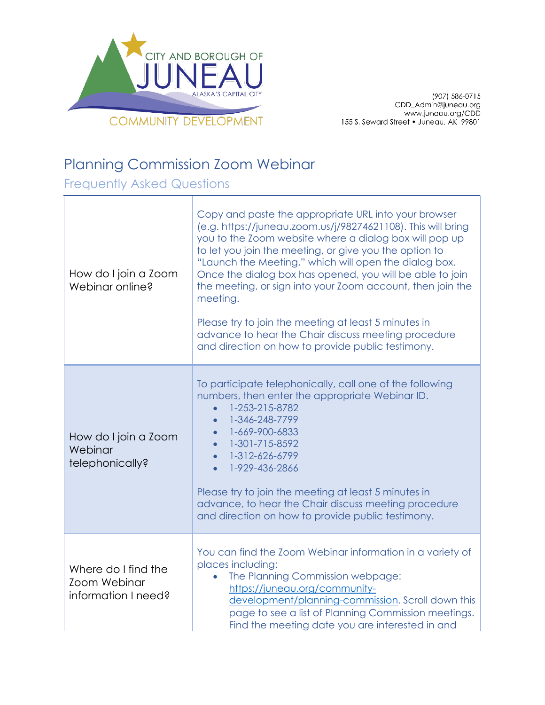

(907) 586-0715 CDD\_Admin@juneau.org<br>CDD\_Admin@juneau.org<br>IS5 S. Seward Street • Juneau, AK 99801

## Planning Commission Zoom Webinar

Frequently Asked Questions

| How do I join a Zoom<br>Webinar online?                    | Copy and paste the appropriate URL into your browser<br>(e.g. https://juneau.zoom.us/j/98274621108). This will bring<br>you to the Zoom website where a dialog box will pop up<br>to let you join the meeting, or give you the option to<br>"Launch the Meeting," which will open the dialog box.<br>Once the dialog box has opened, you will be able to join<br>the meeting, or sign into your Zoom account, then join the<br>meeting.<br>Please try to join the meeting at least 5 minutes in<br>advance to hear the Chair discuss meeting procedure<br>and direction on how to provide public testimony. |
|------------------------------------------------------------|-------------------------------------------------------------------------------------------------------------------------------------------------------------------------------------------------------------------------------------------------------------------------------------------------------------------------------------------------------------------------------------------------------------------------------------------------------------------------------------------------------------------------------------------------------------------------------------------------------------|
| How do I join a Zoom<br>Webinar<br>telephonically?         | To participate telephonically, call one of the following<br>numbers, then enter the appropriate Webinar ID.<br>1-253-215-8782<br>$\bullet$<br>1-346-248-7799<br>$\bullet$<br>1-669-900-6833<br>1-301-715-8592<br>$\bullet$<br>1-312-626-6799<br>$\bullet$<br>1-929-436-2866<br>Please try to join the meeting at least 5 minutes in<br>advance, to hear the Chair discuss meeting procedure<br>and direction on how to provide public testimony.                                                                                                                                                            |
| Where do I find the<br>Zoom Webinar<br>information I need? | You can find the Zoom Webinar information in a variety of<br>places including:<br>The Planning Commission webpage:<br>$\bullet$<br>https://juneau.org/community-<br>development/planning-commission. Scroll down this<br>page to see a list of Planning Commission meetings.<br>Find the meeting date you are interested in and                                                                                                                                                                                                                                                                             |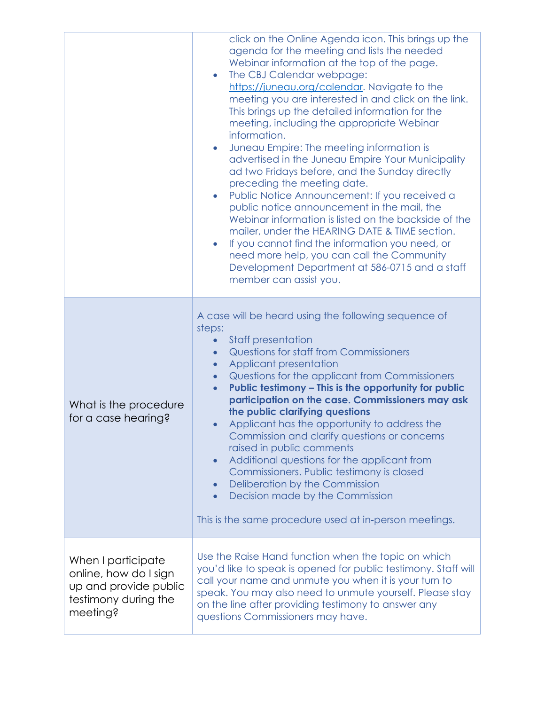|                                                                                                          | click on the Online Agenda icon. This brings up the<br>agenda for the meeting and lists the needed<br>Webinar information at the top of the page.<br>The CBJ Calendar webpage:<br>https://juneau.org/calendar. Navigate to the<br>meeting you are interested in and click on the link.<br>This brings up the detailed information for the<br>meeting, including the appropriate Webinar<br>information.<br>Juneau Empire: The meeting information is<br>$\bullet$<br>advertised in the Juneau Empire Your Municipality<br>ad two Fridays before, and the Sunday directly<br>preceding the meeting date.<br>Public Notice Announcement: If you received a<br>$\bullet$<br>public notice announcement in the mail, the<br>Webinar information is listed on the backside of the<br>mailer, under the HEARING DATE & TIME section.<br>If you cannot find the information you need, or<br>$\bullet$<br>need more help, you can call the Community<br>Development Department at 586-0715 and a staff<br>member can assist you. |
|----------------------------------------------------------------------------------------------------------|--------------------------------------------------------------------------------------------------------------------------------------------------------------------------------------------------------------------------------------------------------------------------------------------------------------------------------------------------------------------------------------------------------------------------------------------------------------------------------------------------------------------------------------------------------------------------------------------------------------------------------------------------------------------------------------------------------------------------------------------------------------------------------------------------------------------------------------------------------------------------------------------------------------------------------------------------------------------------------------------------------------------------|
| What is the procedure<br>for a case hearing?                                                             | A case will be heard using the following sequence of<br>steps:<br><b>Staff presentation</b><br>$\bullet$<br><b>Questions for staff from Commissioners</b><br>$\bullet$<br>Applicant presentation<br>$\bullet$<br>Questions for the applicant from Commissioners<br>$\bullet$<br>Public testimony - This is the opportunity for public<br>$\bullet$<br>participation on the case. Commissioners may ask<br>the public clarifying questions<br>Applicant has the opportunity to address the<br>Commission and clarify questions or concerns<br>raised in public comments<br>Additional questions for the applicant from<br>$\bullet$<br>Commissioners. Public testimony is closed<br>Deliberation by the Commission<br>$\bullet$<br>Decision made by the Commission<br>$\bullet$<br>This is the same procedure used at in-person meetings.                                                                                                                                                                                 |
| When I participate<br>online, how do I sign<br>up and provide public<br>testimony during the<br>meeting? | Use the Raise Hand function when the topic on which<br>you'd like to speak is opened for public testimony. Staff will<br>call your name and unmute you when it is your turn to<br>speak. You may also need to unmute yourself. Please stay<br>on the line after providing testimony to answer any<br>questions Commissioners may have.                                                                                                                                                                                                                                                                                                                                                                                                                                                                                                                                                                                                                                                                                   |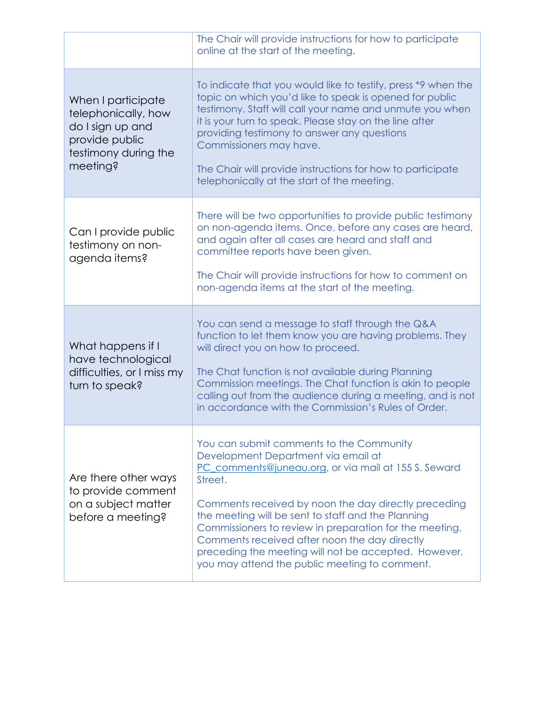|                                                                                                                     | The Chair will provide instructions for how to participate<br>online at the start of the meeting.                                                                                                                                                                                                                                                                                                                                                                                     |
|---------------------------------------------------------------------------------------------------------------------|---------------------------------------------------------------------------------------------------------------------------------------------------------------------------------------------------------------------------------------------------------------------------------------------------------------------------------------------------------------------------------------------------------------------------------------------------------------------------------------|
| When I participate<br>telephonically, how<br>do I sign up and<br>provide public<br>testimony during the<br>meeting? | To indicate that you would like to testify, press *9 when the<br>topic on which you'd like to speak is opened for public<br>testimony. Staff will call your name and unmute you when<br>it is your turn to speak. Please stay on the line after<br>providing testimony to answer any questions<br>Commissioners may have.<br>The Chair will provide instructions for how to participate<br>telephonically at the start of the meeting.                                                |
| Can I provide public<br>testimony on non-<br>agenda items?                                                          | There will be two opportunities to provide public testimony<br>on non-agenda items. Once, before any cases are heard,<br>and again after all cases are heard and staff and<br>committee reports have been given.<br>The Chair will provide instructions for how to comment on<br>non-agenda items at the start of the meeting.                                                                                                                                                        |
| What happens if I<br>have technological<br>difficulties, or I miss my<br>turn to speak?                             | You can send a message to staff through the Q&A<br>function to let them know you are having problems. They<br>will direct you on how to proceed.<br>The Chat function is not available during Planning<br>Commission meetings. The Chat function is akin to people<br>calling out from the audience during a meeting, and is not<br>in accordance with the Commission's Rules of Order.                                                                                               |
| Are there other ways<br>to provide comment<br>on a subject matter<br>before a meeting?                              | You can submit comments to the Community<br>Development Department via email at<br>PC_comments@juneau.org, or via mail at 155 S. Seward<br>Street.<br>Comments received by noon the day directly preceding<br>the meeting will be sent to staff and the Planning<br>Commissioners to review in preparation for the meeting.<br>Comments received after noon the day directly<br>preceding the meeting will not be accepted. However,<br>you may attend the public meeting to comment. |